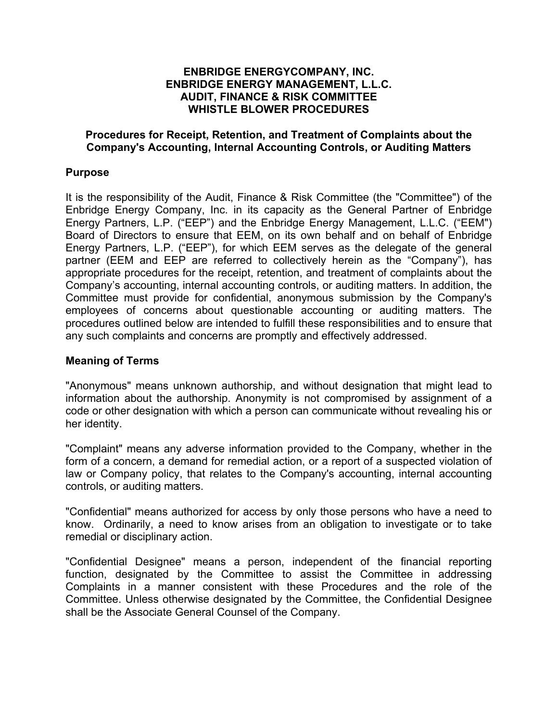## **ENBRIDGE ENERGYCOMPANY, INC. ENBRIDGE ENERGY MANAGEMENT, L.L.C. AUDIT, FINANCE & RISK COMMITTEE WHISTLE BLOWER PROCEDURES**

## **Procedures for Receipt, Retention, and Treatment of Complaints about the Company's Accounting, Internal Accounting Controls, or Auditing Matters**

## **Purpose**

It is the responsibility of the Audit, Finance & Risk Committee (the "Committee") of the Enbridge Energy Company, Inc. in its capacity as the General Partner of Enbridge Energy Partners, L.P. ("EEP") and the Enbridge Energy Management, L.L.C. ("EEM") Board of Directors to ensure that EEM, on its own behalf and on behalf of Enbridge Energy Partners, L.P. ("EEP"), for which EEM serves as the delegate of the general partner (EEM and EEP are referred to collectively herein as the "Company"), has appropriate procedures for the receipt, retention, and treatment of complaints about the Company's accounting, internal accounting controls, or auditing matters. In addition, the Committee must provide for confidential, anonymous submission by the Company's employees of concerns about questionable accounting or auditing matters. The procedures outlined below are intended to fulfill these responsibilities and to ensure that any such complaints and concerns are promptly and effectively addressed.

#### **Meaning of Terms**

"Anonymous" means unknown authorship, and without designation that might lead to information about the authorship. Anonymity is not compromised by assignment of a code or other designation with which a person can communicate without revealing his or her identity.

"Complaint" means any adverse information provided to the Company, whether in the form of a concern, a demand for remedial action, or a report of a suspected violation of law or Company policy, that relates to the Company's accounting, internal accounting controls, or auditing matters.

"Confidential" means authorized for access by only those persons who have a need to know. Ordinarily, a need to know arises from an obligation to investigate or to take remedial or disciplinary action.

"Confidential Designee" means a person, independent of the financial reporting function, designated by the Committee to assist the Committee in addressing Complaints in a manner consistent with these Procedures and the role of the Committee. Unless otherwise designated by the Committee, the Confidential Designee shall be the Associate General Counsel of the Company.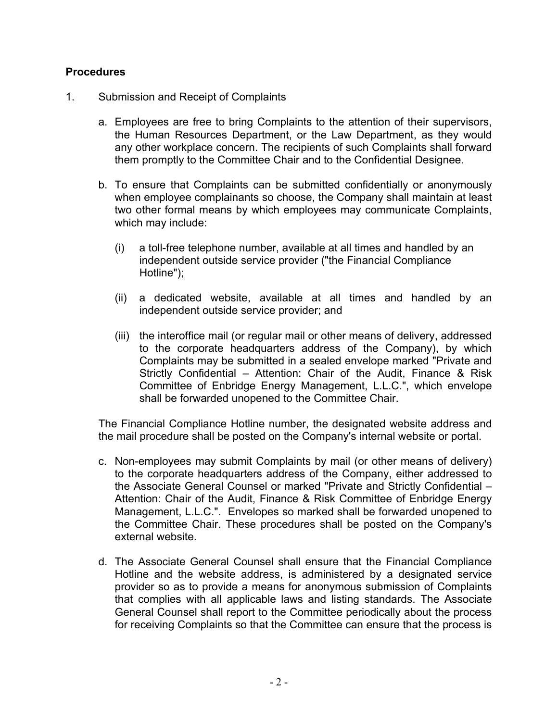# **Procedures**

- 1. Submission and Receipt of Complaints
	- a. Employees are free to bring Complaints to the attention of their supervisors, the Human Resources Department, or the Law Department, as they would any other workplace concern. The recipients of such Complaints shall forward them promptly to the Committee Chair and to the Confidential Designee.
	- b. To ensure that Complaints can be submitted confidentially or anonymously when employee complainants so choose, the Company shall maintain at least two other formal means by which employees may communicate Complaints, which may include:
		- (i) a toll-free telephone number, available at all times and handled by an independent outside service provider ("the Financial Compliance Hotline");
		- (ii) a dedicated website, available at all times and handled by an independent outside service provider; and
		- (iii) the interoffice mail (or regular mail or other means of delivery, addressed to the corporate headquarters address of the Company), by which Complaints may be submitted in a sealed envelope marked "Private and Strictly Confidential – Attention: Chair of the Audit, Finance & Risk Committee of Enbridge Energy Management, L.L.C.", which envelope shall be forwarded unopened to the Committee Chair.

The Financial Compliance Hotline number, the designated website address and the mail procedure shall be posted on the Company's internal website or portal.

- c. Non-employees may submit Complaints by mail (or other means of delivery) to the corporate headquarters address of the Company, either addressed to the Associate General Counsel or marked "Private and Strictly Confidential – Attention: Chair of the Audit, Finance & Risk Committee of Enbridge Energy Management, L.L.C.". Envelopes so marked shall be forwarded unopened to the Committee Chair. These procedures shall be posted on the Company's external website.
- d. The Associate General Counsel shall ensure that the Financial Compliance Hotline and the website address, is administered by a designated service provider so as to provide a means for anonymous submission of Complaints that complies with all applicable laws and listing standards. The Associate General Counsel shall report to the Committee periodically about the process for receiving Complaints so that the Committee can ensure that the process is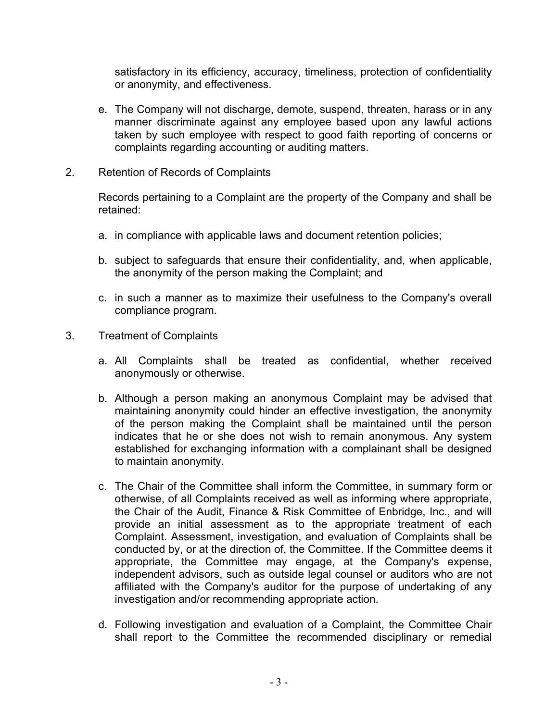satisfactory in its efficiency, accuracy, timeliness, protection of confidentiality or anonymity, and effectiveness.

- e. The Company will not discharge, demote, suspend, threaten, harass or in any manner discriminate against any employee based upon any lawful actions taken by such employee with respect to good faith reporting of concerns or complaints regarding accounting or auditing matters.
- 2. Retention of Records of Complaints

Records pertaining to a Complaint are the property of the Company and shall be retained:

- a. in compliance with applicable laws and document retention policies;
- b. subject to safeguards that ensure their confidentiality, and, when applicable, the anonymity of the person making the Complaint; and
- c. in such a manner as to maximize their usefulness to the Company's overall compliance program.
- 3. Treatment of Complaints
	- a. All Complaints shall be treated as confidential, whether received anonymously or otherwise.
	- b. Although a person making an anonymous Complaint may be advised that maintaining anonymity could hinder an effective investigation, the anonymity of the person making the Complaint shall be maintained until the person indicates that he or she does not wish to remain anonymous. Any system established for exchanging information with a complainant shall be designed to maintain anonymity.
	- c. The Chair of the Committee shall inform the Committee, in summary form or otherwise, of all Complaints received as well as informing where appropriate, the Chair of the Audit, Finance & Risk Committee of Enbridge, Inc., and will provide an initial assessment as to the appropriate treatment of each Complaint. Assessment, investigation, and evaluation of Complaints shall be conducted by, or at the direction of, the Committee. If the Committee deems it appropriate, the Committee may engage, at the Company's expense, independent advisors, such as outside legal counsel or auditors who are not affiliated with the Company's auditor for the purpose of undertaking of any investigation and/or recommending appropriate action.
	- d. Following investigation and evaluation of a Complaint, the Committee Chair shall report to the Committee the recommended disciplinary or remedial